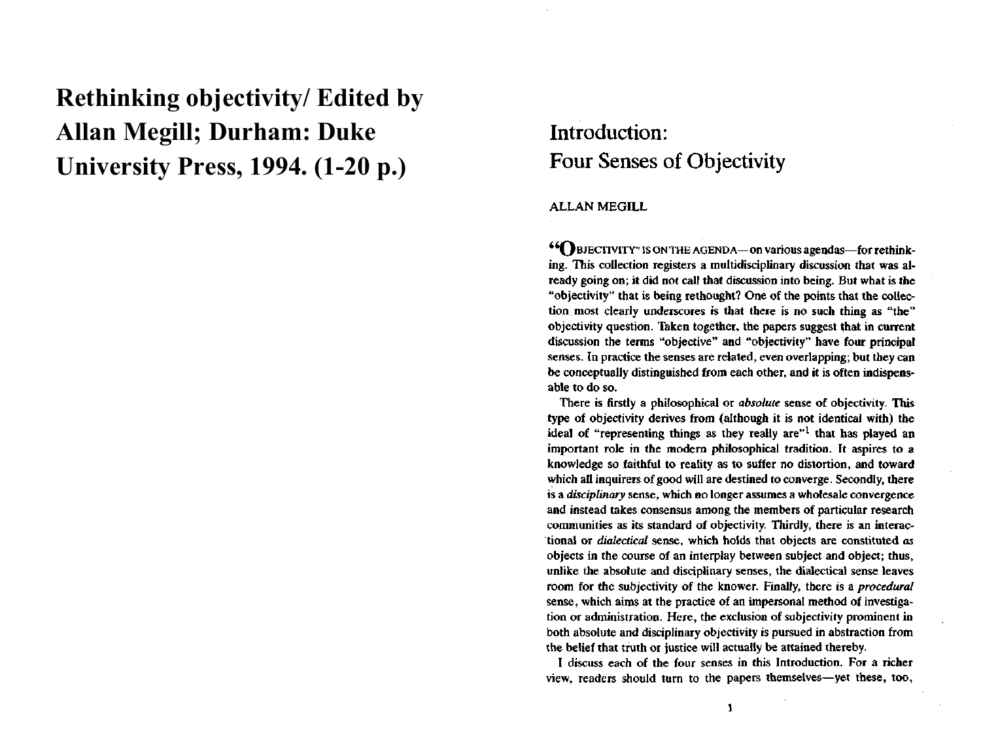# **Rethinking objectivity/ Edited by Allan Megill; Durham: Duke University Press, 1994. (1-20 p.)**

# Introduction: Four Senses of Objectivity

#### ALLAN MEGILL

**\*** OBJECTIVITY" IS ON THE AGENDA— on various agendas—for rethinking. This collection registers a multidisciplinary discussion that was already going on; it did not call that discussion into being. But what is the "objectivity" that is being rethought? One of the points that the collection most clearly underscores is that there is no such thing as "the" objectivity question. Taken together, the papers suggest that in current discussion the terms "objective" and "objectivity" have four principal senses. In practice the senses are related, even overlapping; but they can be conceptually distinguished from each other, and it is often indispensable to do so.

There is firstly a philosophical or *absolute* sense of objectivity. This type of objectivity derives from (although it is not identical with) the ideal of "representing things as they really are"<sup>1</sup> that has played an important role in the modern philosophical tradition. It aspires to a knowledge so faithful to reality as to suffer no distortion, and toward which all inquirers of good will are destined to converge. Secondly, there is a *disciplinary* sense, which no longer assumes a wholesale convergence and instead takes consensus among the members of particular research communities as its standard of objectivity. Thirdly, there is an interactional or *dialectical* sense, which holds that objects are constituted *as* objects in the course of an interplay between subject and object; thus, unlike the absolute and disciplinary senses, the dialectical sense leaves room for the subjectivity of the knower. Finally, there is a *procedural* sense, which aims at the practice of an impersonal method of investigation or administration. Here, the exclusion of subjectivity prominent in both absolute and disciplinary objectivity is pursued in abstraction from the belief that truth or justice will actually be attained thereby.

I discuss each of the four senses in this Introduction. For a richer view, readers should turn to the papers themselves—yet these, too,

 $\mathbf{1}$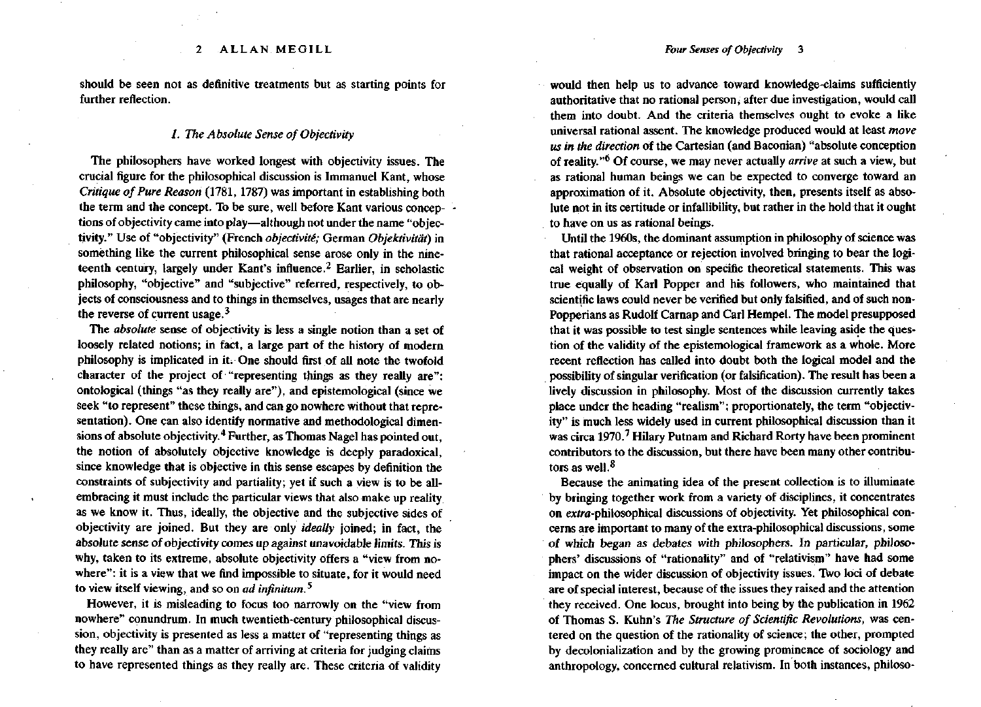should be seen not as definitive treatments but as starting points for further reflection.

# *1. The Absolute Sense of Objectivity*

The philosophers have worked longest with objectivity issues. The crucial figure for the philosophical discussion is Immanuel Kant, whose *Critique of Pure Reason* (1781, 1787) was important in establishing both the term and the concept. To be sure, well before Kant various conceptions of objectivity came into play—although not under the name "objectivity." Use of "objectivity" (French *objectivité*; German *Objektivität*) in something like the current philosophical sense arose only in the nineteenth century, largely under Kant's influence.<sup>2</sup> Earlier, in scholastic philosophy, "objective" and "subjective" referred, respectively, to objects of consciousness and to things in themselves, usages that are nearly the reverse of current usage. $3$ 

The *absolute* sense of objectivity is less a single notion than a set of loosely related notions; in fact, a large part of the history of modern philosophy is implicated in it. One should first of all note the twofold character of the project of "representing things as they really are": ontological (things "as they really are"), and epistemological (since we seek "to represent" these things, and can go nowhere without that representation). One can also identify normative and methodological dimensions of absolute objectivity.<sup>4</sup> Further, as Thomas Nagel has pointed out, the notion of absolutely objective knowledge is deeply paradoxical, since knowledge that is objective in this sense escapes by definition the constraints of subjectivity and partiality; yet if such a view is to be allembracing it must include the particular views that also make up reality as we know it. Thus, ideally, the objective and the subjective sides of objectivity are joined. But they are only *ideally* joined; in fact, the absolute sense of objectivity comes up against unavoidable *limits. This* is why, taken to its extreme, absolute objectivity offers a "view from nowhere": it is a view that we find impossible to situate, for it would need to view itself viewing, and so on *ad infinitum.<sup>5</sup>*

However, it is misleading to focus too narrowly on the "view from nowhere" conundrum. In much twentieth-century philosophical discussion, objectivity is presented as less a matter of "representing things as they really are" than as a matter of arriving at criteria for judging claims to have represented things as they really are. These criteria of validity would then help us to advance toward knowledge-claims sufficiently authoritative that no rational person, after due investigation, would call them into doubt. And the criteria themselves ought to evoke a like universal rational assent. The knowledge produced would at least *move us in the direction* of the Cartesian (and Baconian) "absolute conception of reality."<sup>6</sup> Of course, we may never actually *arrive* at such a view, but as rational human beings we can be expected to converge toward an approximation of it. Absolute objectivity, then, presents itself as absolute not in its certitude or infallibility, but rather in the hold that it ought to have on us as rational beings.

Until the 1960s, the dominant assumption in philosophy of science was that rational acceptance or rejection involved bringing to bear the logical weight of observation on specific theoretical statements. This was true equally of Karl Popper and his followers, who maintained that scientific laws could never be verified but only falsified, and of such non-Popperians as Rudolf Carnap and Carl Hempel. The model presupposed that it was possible to test single sentences while leaving aside the question of the validity of the epistemological framework as a whole. More recent reflection has called into doubt both the logical model and the possibility of singular verification (or falsification). The result has been a lively discussion in philosophy. Most of the discussion currently takes place under the heading "realism"; proportionately, the term "objectivity" is much less widely used in current philosophical discussion than it was circa 1970.<sup>7</sup> Hilary Putnam and Richard Rorty have been prominent contributors to the discussion, but there have been many other contributors as well. $8$ 

Because the animating idea of the present collection is to illuminate by bringing together work from a variety of disciplines, it concentrates on extra-philosophical discussions of objectivity. Yet philosophical concerns are important to many of the extra-philosophical discussions, some of which began as debates with philosophers. In particular, philosophers' discussions of "rationality" and of "relativism" have had some impact on the wider discussion of objectivity issues. Two loci of debate are of special interest, because of the issues they raised and the attention they received. One locus, brought into being by the publication in 1962 of Thomas S. Kuhn's *The Structure of Scientific Revolutions,* was centered on the question of the rationality of science; the other, prompted by decolonialization and by the growing prominence of sociology and anthropology, concerned cultural relativism. In both instances, philoso-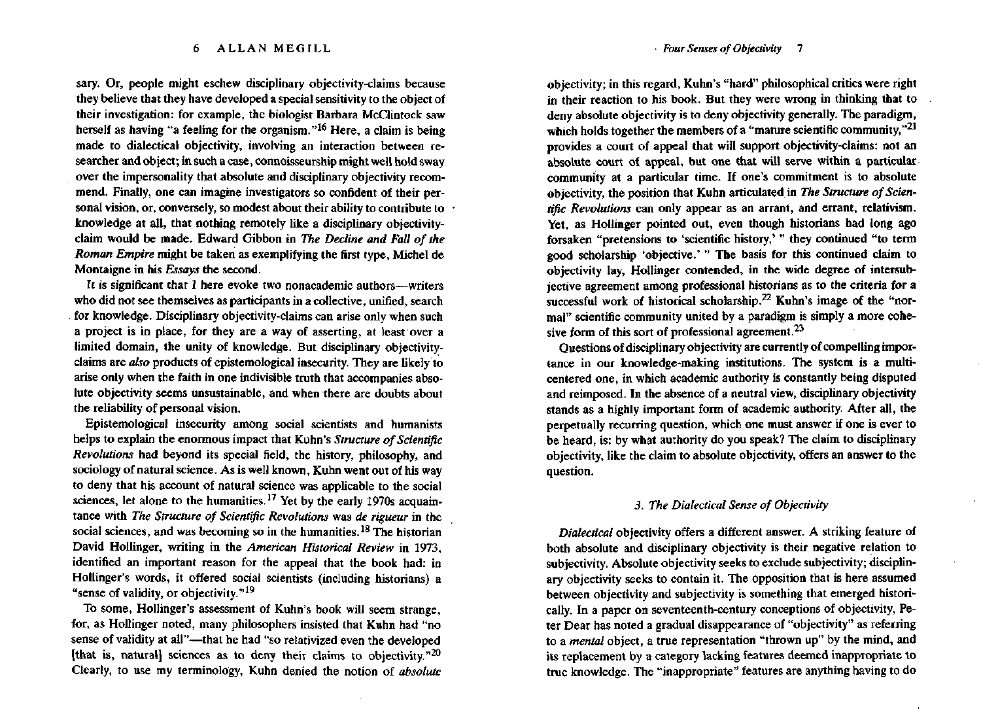#### 6 ALLAN MEGILL

sary. Or, people might eschew disciplinary objectivity-claims because they believe that they have developed a special sensitivity to the object of their investigation: for example, the biologist Barbara McClintock saw herself as having "a feeling for the organism."<sup>16</sup> Here, a claim is being made to dialectical objectivity, involving an interaction between researcher and object; in such a case, connoisseurship might well hold sway over the impersonality that absolute and disciplinary objectivity recommend. Finally, one can imagine investigators so confident of their personal vision, or, conversely, so modest about their ability to contribute to  $\cdot$ knowledge at all, that nothing remotely like a disciplinary objectivityclaim would be made. Edward Gibbon in *The Decline and Fall of the Roman Empire* might be taken as exemplifying the first type, Michel de Montaigne in his *Essays* the second.

It is significant that I here evoke two nonacademic authors—writers who did not see themselves as participants in a collective, unified, search for knowledge. Disciplinary objectivity-claims can arise only when such a project is in place, for they are a way of asserting, at least over a limited domain, the unity of knowledge. But disciplinary objectivityclaims are *also* products of epistemological insecurity. They are likely to arise only when the faith in one indivisible truth that accompanies absolute objectivity seems unsustainable, and when there are doubts about the reliability of personal vision.

Epistemological insecurity among social scientists and humanists helps to explain the enormous impact that Kuhn's *Structure of Scientific Revolutions* had beyond its special field, the history, philosophy, and sociology of natural science. As is well known, Kuhn went out of his way to deny that his account of natural science was applicable to the social sciences, let alone to the humanities.<sup>17</sup> Yet by the early 1970s acquaintance with *The Structure of Scientific Revolutions* was *de rigueur* in the social sciences, and was becoming so in the humanities.<sup>18</sup> The historian David Hollinger, writing in the *American Historical Review* in 1973, identified an important reason for the appeal that the book had: in Hollinger's words, it offered social scientists (including historians) a "sense of validity, or objectivity."<sup>19</sup>

To some, Hollinger's assessment of Kuhn's book will seem strange, for, as Hollinger noted, many philosophers insisted that Kuhn had "no sense of validity at all"—that he had "so relativized even the developed [that is, natural] sciences as to deny their claims to objectivity." $20$ Clearly, to use my terminology, Kuhn denied the notion of *absolute* objectivity; in this regard, Kuhn's "hard" philosophical critics were right in their reaction to his book. But they were wrong in thinking that to deny absolute objectivity is to deny objectivity generally. The paradigm, which holds together the members of a "mature scientific community,"<sup>21</sup> provides a court of appeal that will support objectivity-claims: not an absolute court of appeal, but one that will serve within a particular community at a particular time. If one's commitment is to absolute objectivity, the position that Kuhn articulated in *The Structure of Scientific Revolutions* can only appear as an arrant, and errant, relativism. Yet, as Hollinger pointed out, even though historians had long ago forsaken "pretensions to 'scientific history,' " they continued "to term good scholarship 'objective.' " The basis for this continued claim to objectivity lay, Hollinger contended, in the wide degree of intersubjective agreement among professional historians as to the criteria for a successful work of historical scholarship.<sup>22</sup> Kuhn's image of the "normal" scientific community united by a paradigm is simply a more cohesive form of this sort of professional agreement.<sup>23</sup>

Questions of disciplinary objectivity are currently of compelling importance in our knowledge-making institutions. The system is a multicentered one, in which academic authority is constantly being disputed and reimposed. In the absence of a neutral view, disciplinary objectivity stands as a highly important form of academic authority. After all, the perpetually recurring question, which one must answer if one is ever to be heard, is: by what authority do you speak? The claim to disciplinary objectivity, like the claim to absolute objectivity, offers an answer to the question.

#### *3. The Dialectical Sense of Objectivity*

*Dialectical* objectivity offers a different answer. A striking feature of both absolute and disciplinary objectivity is their negative relation to subjectivity. Absolute objectivity seeks to exclude subjectivity; disciplinary objectivity seeks to contain it. The opposition that is here assumed between objectivity and subjectivity is something that emerged historically. In a paper on seventeenth-century conceptions of objectivity, Peter Dear has noted a gradual disappearance of "objectivity" as referring to a *mental* object, a true representation "thrown up" by the mind, and its replacement by a category lacking features deemed inappropriate to true knowledge. The "inappropriate" features are anything having to do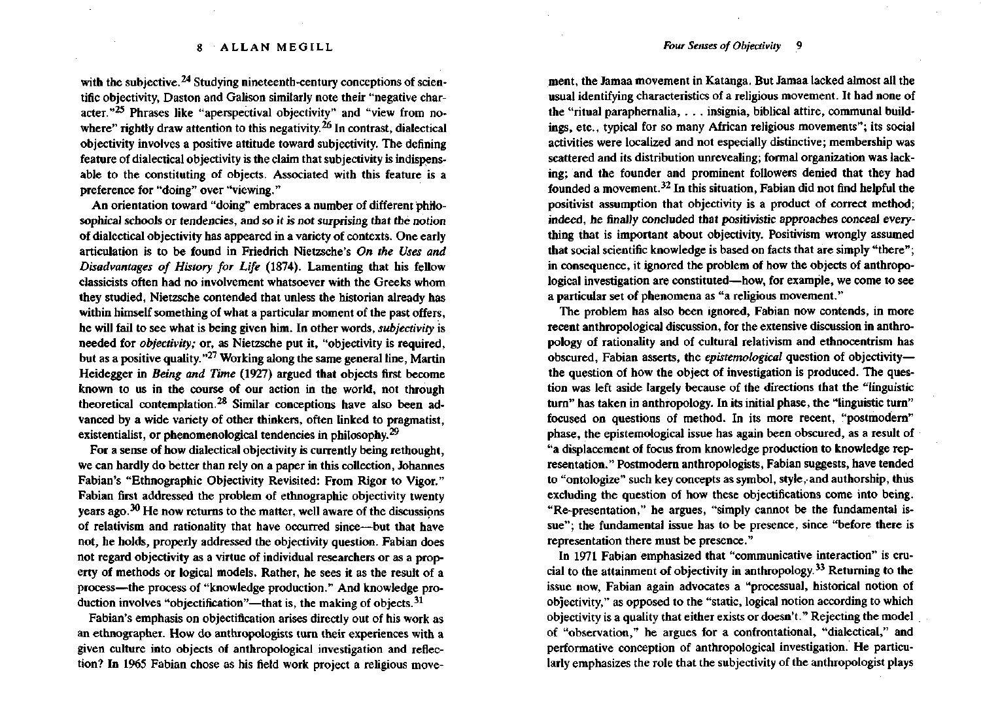#### 8 ALLAN MEGILL

with the subjective.<sup>24</sup> Studying nineteenth-century conceptions of scientific objectivity, Daston and Galison similarly note their "negative character."<sup>25</sup> Phrases like "aperspectival objectivity" and "view from nowhere" rightly draw attention to this negativity.<sup>26</sup> In contrast, dialectical objectivity involves a positive attitude toward subjectivity. The defining feature of dialectical objectivity is the claim that subjectivity is indispensable to the constituting of objects. Associated with this feature is a preference for "doing" over "viewing."

An orientation toward "doing" embraces a number of different philosophical schools or tendencies, and so it is not surprising that the notion of dialectical objectivity has appeared in a variety of contexts. One early articulation is to be found in Friedrich Nietzsche's *On the Uses and Disadvantages of History for Life* (1874). Lamenting that his fellow classicists often had no involvement whatsoever with the Greeks whom they studied, Nietzsche contended that unless the historian already has within himself something of what a particular moment of the past offers, he will fail to see what is being given him. In other words, *subjectivity* is needed for *objectivity;* or, as Nietzsche put it, "objectivity is required, but as a positive quality."<sup>27</sup> Working along the same general line, Martin Heidegger in *Being and Time* (1927) argued that objects first become known to us in the course of our action in the world, not through theoretical contemplation.<sup>28</sup> Similar conceptions have also been advanced by a wide variety of other thinkers, often linked to pragmatist, existentialist, or phenomenological tendencies in philosophy.<sup>29</sup>

For a sense of how dialectical objectivity is currently being rethought, we can hardly do better than rely on a paper in this collection, Johannes Fabian's "Ethnographic Objectivity Revisited: From Rigor to Vigor." Fabian first addressed the problem of ethnographic objectivity twenty years ago.<sup>30</sup> He now returns to the matter, well aware of the discussions of relativism and rationality that have occurred since—but that have not, he holds, properly addressed the objectivity question. Fabian does not regard objectivity as a virtue of individual researchers or as a property of methods or logical models. Rather, he sees it as the result of a process—the process of "knowledge production." And knowledge production involves "objectification"—that is, the making of objects. $31$ 

Fabian's emphasis on objectification arises directly out of his work as an ethnographer. How do anthropologists turn their experiences with a given culture into objects of anthropological investigation and reflection? In 1965 Fabian chose as his field work project a religious move-

ment, the Jamaa movement in Katanga. But Jamaa lacked almost all the usual identifying characteristics of a religious movement. It had none of the "ritual paraphernalia, . . . insignia, biblical attire, communal buildings, etc., typical for so many African religious movements"; its social activities were localized and not especially distinctive; membership was scattered and its distribution unrevealing; formal organization was lacking; and the founder and prominent followers denied that they had founded a movement.<sup>32</sup> In this situation, Fabian did not find helpful the positivist assumption that objectivity is a product of correct method; indeed, he finally concluded that positivistic approaches conceal everything that is important about objectivity. Positivism wrongly assumed that social scientific knowledge is based on facts that are simply "there"; in consequence, it ignored the problem of how the objects of anthropological investigation are constituted—how, for example, we come to see a particular set of phenomena as "a religious movement."

The problem has also been ignored, Fabian now contends, in more recent anthropological discussion, for the extensive discussion in anthropology of rationality and of cultural relativism and ethnocentrism has obscured, Fabian asserts, the *epistemological* question of objectivity the question of how the object of investigation is produced. The question was left aside largely because of the directions that the "linguistic turn" has taken in anthropology. In its initial phase, the "linguistic turn" focused on questions of method. In its more recent, "postmodern" phase, the epistemological issue has again been obscured, as a result of "a displacement of focus from knowledge production to knowledge representation." Postmodern anthropologists, Fabian suggests, have tended to "ontologize" such key concepts as symbol, style, and authorship, thus excluding the question of how these objectifications come into being. "Re-presentation," he argues, "simply cannot be the fundamental issue"; the fundamental issue has to be presence, since "before there is representation there must be presence."

In 1971 Fabian emphasized that "communicative interaction" is crucial to the attainment of objectivity in anthropology.<sup>33</sup> Returning to the issue now, Fabian again advocates a "processual, historical notion of objectivity," as opposed to the "static, logical notion according to which objectivity is a quality that either exists or doesn't." Rejecting the model of "observation," he argues for a confrontational, "dialectical," and performative conception of anthropological investigation. He particularly emphasizes the role that the subjectivity of the anthropologist plays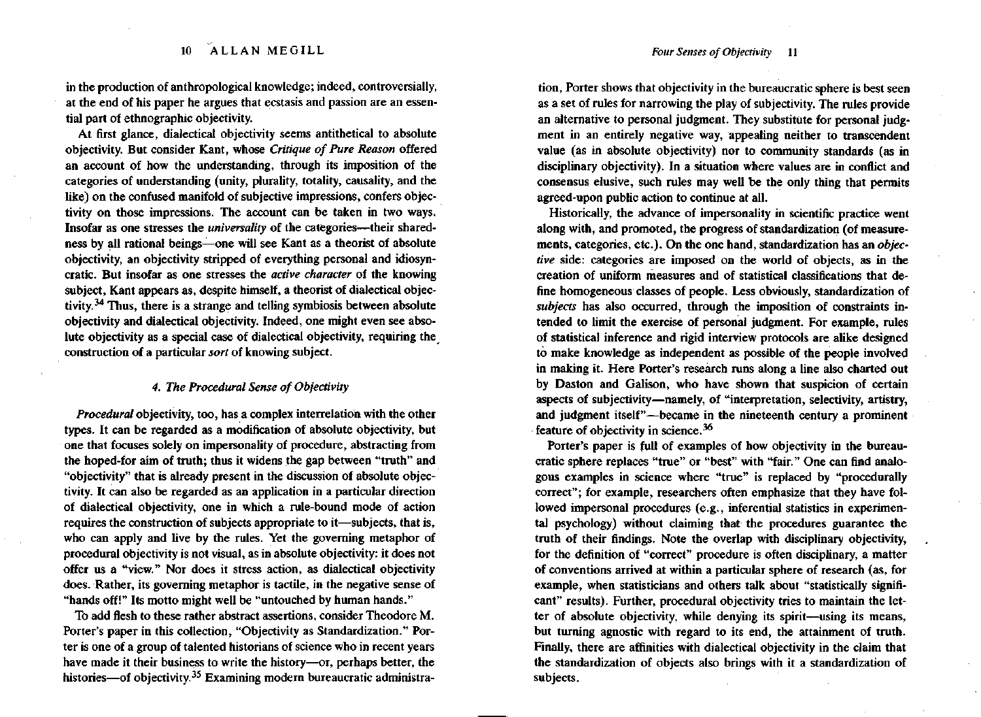in the production of anthropological knowledge; indeed, controversially, at the end of his paper he argues that ecstasis and passion are an essential part of ethnographic objectivity.

At first glance, dialectical objectivity seems antithetical to absolute objectivity. But consider Kant, whose *Critique of Pure Reason* offered an account of how the understanding, through its imposition of the categories of understanding (unity, plurality, totality, causality, and the like) on the confused manifold of subjective impressions, confers objectivity on those impressions. The account can be taken in two ways. Insofar as one stresses the *universality* of the categories—their sharedness by all rational beings—one will see Kant as a theorist of absolute objectivity, an objectivity stripped of everything personal and idiosyncratic. But insofar as one stresses the *active character* of the knowing subject, Kant appears as, despite himself, a theorist of dialectical objectivity.<sup>34</sup> Thus, there is a strange and telling symbiosis between absolute objectivity and dialectical objectivity. Indeed, one might even see absolute objectivity as a special case of dialectical objectivity, requiring the construction of a particular *sort* of knowing subject.

# *4. The Procedural Sense of Objectivity*

*Procedural* objectivity, too, has a complex interrelation with the other types. It can be regarded as a modification of absolute objectivity, but one that focuses solely on impersonality of procedure, abstracting from the hoped-for aim of truth; thus it widens the gap between "truth" and "objectivity" that is already present in the discussion of absolute objectivity. It can also be regarded as an application in a particular direction of dialectical objectivity, one in which a rule-bound mode of action requires the construction of subjects appropriate to it—subjects, that is, who can apply and live by the rules. Yet the governing metaphor of procedural objectivity is not visual, as in absolute objectivity: it does not offer us a "view." Nor does it stress action, as dialectical objectivity does. Rather, its governing metaphor is tactile, in the negative sense of "hands off!" Its motto might well be "untouched by human hands."

To add flesh to these rather abstract assertions, consider Theodore M. Porter's paper in this collection, "Objectivity as Standardization." Porter is one of a group of talented historians of science who in recent years have made it their business to write the history—or, perhaps better, the histories—of objectivity.<sup>35</sup> Examining modern bureaucratic administra-

tion, Porter shows that objectivity in the bureaucratic sphere is best seen as a set of rules for narrowing the play of subjectivity. The rules provide an alternative to personal judgment. They substitute for personal judgment in an entirely negative way, appealing neither to transcendent value (as in absolute objectivity) nor to community standards (as in disciplinary objectivity). In a situation where values are in conflict and consensus elusive, such rules may well be the only thing that permits agreed-upon public action to continue at all.

Historically, the advance of impersonality in scientific practice went along with, and promoted, the progress of standardization (of measurements, categories, etc.). On the one hand, standardization has an *objective* side: categories are imposed on the world of objects, as in the creation of uniform measures and of statistical classifications that define homogeneous classes of people. Less obviously, standardization of *subjects* has also occurred, through the imposition of constraints intended to limit the exercise of personal judgment. For example, rules of statistical inference and rigid interview protocols are alike designed to make knowledge as independent as possible of the people involved in making it. Here Porter's research runs along a line also charted out by Daston and Galison, who have shown that suspicion of certain aspects of subjectivity—namely, of "interpretation, selectivity, artistry, and judgment itself"—became in the nineteenth century a prominent feature of objectivity in science.<sup>36</sup>

Porter's paper is full of examples of how objectivity in the bureaucratic sphere replaces "true" or "best" with "fair." One can find analogous examples in science where "true" is replaced by "procedurally correct"; for example, researchers often emphasize that they have followed impersonal procedures (e.g., inferential statistics in experimental psychology) without claiming that the procedures guarantee the truth of their findings. Note the overlap with disciplinary objectivity, for the definition of "correct" procedure is often disciplinary, a matter of conventions arrived at within a particular sphere of research (as, for example, when statisticians and others talk about "statistically significant" results). Further, procedural objectivity tries to maintain the letter of absolute objectivity, while denying its spirit—using its means, but turning agnostic with regard to its end, the attainment of truth. Finally, there are affinities with dialectical objectivity in the claim that the standardization of objects also brings with it a standardization of subjects.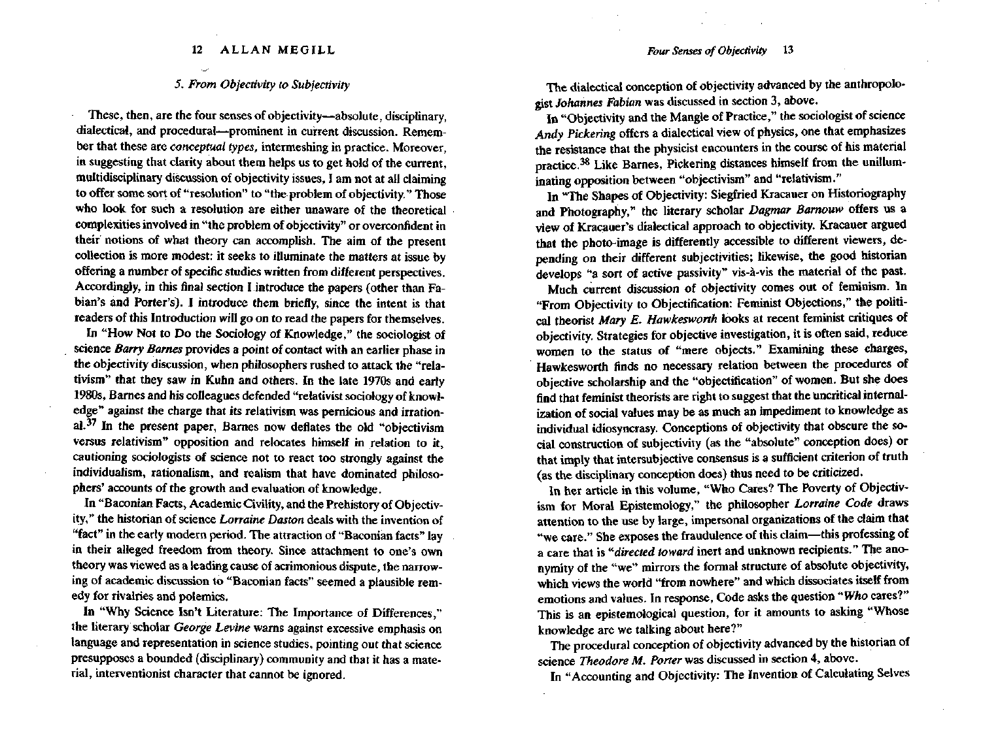#### 12 ALLAN MEGILL

#### *5. From Objectivity to Subjectivity*

These, then, are the four senses of objectivity—absolute, disciplinary, dialectical, and procedural—prominent in current discussion. Remember that these are *conceptual types,* intermeshing in practice. Moreover, in suggesting that clarity about them helps us to get hold of the current, multidisciplinary discussion of objectivity issues, I am not at all claiming to offer some sort of "resolution" to "the problem of objectivity." Those who look for such a resolution are either unaware of the theoretical complexities involved in "the problem of objectivity" or overconfident in their notions of what theory can accomplish. The aim of the present collection is more modest: it seeks to illuminate the matters at issue by offering a number of specific studies written from different perspectives. Accordingly, in this final section I introduce the papers (other than Fabian's and Porter's). I introduce them briefly, since the intent is that readers of this Introduction will go on to read the papers for themselves.

In "How Not to Do the Sociology of Knowledge," the sociologist of science *Barry Barnes* provides a point of contact with an earlier phase in the objectivity discussion, when philosophers rushed to attack the "relativism" that they saw in Kuhn and others. In the late 1970s and early 1980s, Barnes and his colleagues defended "relativist sociology of knowledge" against the charge that its relativism was pernicious and irrational.<sup>37</sup> In the present paper, Barnes now deflates the old "objectivism versus relativism" opposition and relocates himself in relation to it, cautioning sociologists of science not to react too strongly against the individualism, rationalism, and realism that have dominated philosophers' accounts of the growth and evaluation of knowledge.

In "Baconian Facts, Academic Civility, and the Prehistory of Objectivity," the historian of science *Lorraine Daston* deals with the invention of "fact" in the early modern period. The attraction of "Baconian facts" lay in their alleged freedom from theory. Since attachment to one's own theory was viewed as a leading cause of acrimonious dispute, the narrowing of academic discussion to "Baconian facts" seemed a plausible remedy for rivalries and polemics.

In "Why Science Isn't Literature: The Importance of Differences," the literary scholar *George Levine* warns against excessive emphasis on language and representation in science studies, pointing out that science presupposes a bounded (disciplinary) community and that it has a material, interventionist character that cannot be ignored.

The dialectical conception of objectivity advanced by the anthropologist *Johannes Fabian* was discussed in section 3, above.

In "Objectivity and the Mangle of Practice," the sociologist of science *Andy Pickering* offers a dialectical view of physics, one that emphasizes the resistance that the physicist encounters in the course of his material practice.<sup>38</sup> Like Barnes, Pickering distances himself from the unilluminating opposition between "objectivism" and "relativism."

In "The Shapes of Objectivity: Siegfried Kracauer on Historiography and Photography," the literary scholar *Dagmar Barnouw* offers us a view of Kracauer's dialectical approach to objectivity. Kracauer argued that the photo-image is differently accessible to different viewers, depending on their different subjectivities; likewise, the good historian develops "a sort of active passivity" vis-a-vis the material of the past.

Much current discussion of objectivity comes out of feminism. In "From Objectivity to Objectification: Feminist Objections," the political theorist *Mary E. Hawkesworth* looks at recent feminist critiques of objectivity. Strategies for objective investigation, it is often said, reduce women to the status of "mere objects." Examining these charges, Hawkesworth finds no necessary relation between the procedures of objective scholarship and the "objectification" of women. But she does find that feminist theorists are right to suggest that the uncritical internalization of social values may be as much an impediment to knowledge as individual idiosyncrasy. Conceptions of objectivity that obscure the social construction of subjectivity (as the "absolute" conception does) or that imply that intersubjective consensus is a sufficient criterion of truth (as the disciplinary conception does) thus need to be criticized.

In her article in this volume, "Who Cares? The Poverty of Objectivism for Moral Epistemology," the philosopher *Lorraine Code* draws attention to the use by large, impersonal organizations of the claim that "we care." She exposes the fraudulence of this claim—this professing of a care that is *"directed toward* inert and unknown recipients." The anonymity of the "we" mirrors the formal structure of absolute objectivity, which views the world "from nowhere" and which dissociates itself from emotions and values. In response, Code asks the question "*Who* cares?" This is an epistemological question, for it amounts to asking "Whose knowledge are we talking about here?"

The procedural conception of objectivity advanced by the historian of science *Theodore M. Porter* was discussed in section 4, above.

In "Accounting and Objectivity: The Invention of Calculating Selves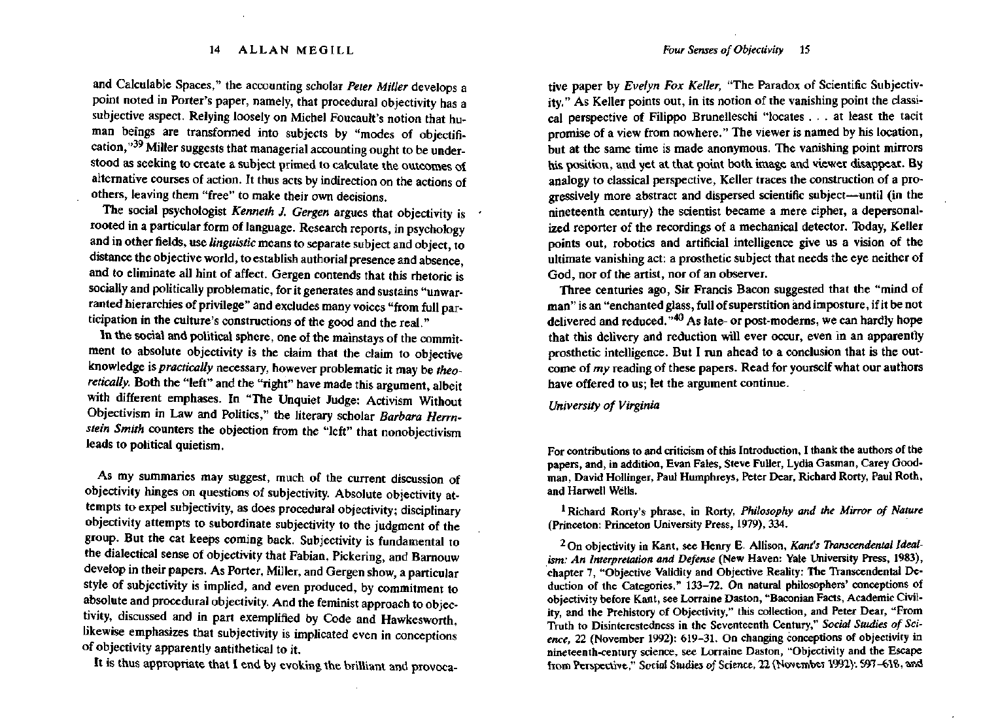and Calculable Spaces," the accounting scholar *Peter Miller* develops a point noted in Porter's paper, namely, that procedural objectivity has a subjective aspect. Relying loosely on Michel Foucault's notion that human beings are transformed into subjects by "modes of objectification,"<sup>39</sup> Miller suggests that managerial accounting ought to be understood as seeking to create a subject primed to calculate the outcomes of alternative courses of action. It thus acts by indirection on the actions of others, leaving them "free" to make their own decisions.

The social psychologist *Kenneth J. Gergen* argues that objectivity is  $\cdot$ rooted in a particular form of language. Research reports, in psychology and in other fields, use *linguistic* means to separate subject and object, to distance the objective world, to establish authorial presence and absence, and to eliminate all hint of affect. Gergen contends that this rhetoric is socially and politically problematic, for it generates and sustains "unwarranted hierarchies of privilege" and excludes many voices "from full participation in the culture's constructions of the good and the real."

In the social and political sphere, one of the mainstays of the commitment to absolute objectivity is the claim that the claim to objective knowledge *is practically* necessary, however problematic it may be *theoretically.* Both the "left" and the "right" have made this argument, albeit with different emphases. In "The Unquiet Judge: Activism Without Objectivism in Law and Politics," the literary scholar *Barbara Herrnstein Smith* counters the objection from the "left" that nonobjectivism leads to political quietism.

As my summaries may suggest, much of the current discussion of objectivity hinges on questions of subjectivity. Absolute objectivity attempts to expel subjectivity, as does procedural objectivity; disciplinary objectivity attempts to subordinate subjectivity to the judgment of the group. But the cat keeps coming back. Subjectivity is fundamental to the dialectical sense of objectivity that Fabian, Pickering, and Barnouw develop in their papers. As Porter, Miller, and Gergen show, a particular style of subjectivity is implied, and even produced, by commitment to absolute and procedural objectivity. And the feminist approach to objectivity, discussed and in part exemplified by Code and Hawkesworth, likewise emphasizes that subjectivity is implicated even in conceptions of objectivity apparently antithetical to it.

It is thus appropriate that I end by evoking the brilliant and provoca-

tive paper by *Evelyn Fox Keller,* "The Paradox of Scientific Subjectivity." As Keller points out, in its notion of the vanishing point the classical perspective of Filippo Brunelleschi "locates .. . at least the tacit promise of a view from nowhere." The viewer is named by his location, but at the same time is made anonymous. The vanishing point mirrors his position, and yet at that point both image and viewer disappear. By analogy to classical perspective, Keller traces the construction of a progressively more abstract and dispersed scientific subject—until (in the nineteenth century) the scientist became a mere cipher, a depersonalized reporter of the recordings of a mechanical detector. Today, Keller points out, robotics and artificial intelligence give us a vision of the ultimate vanishing act: a prosthetic subject that needs the eye neither of God, nor of the artist, nor of an observer.

Three centuries ago, Sir Francis Bacon suggested that the "mind of man" is an "enchanted glass, full of superstition and imposture, if it be not delivered and reduced."<sup>40</sup> As late- or post-moderns, we can hardly hope that this delivery and reduction will ever occur, even in an apparently prosthetic intelligence. But I run ahead to a conclusion that is the outcome of *my* reading of these papers. Read for yourself what our authors have offered to us; let the argument continue.

# *University of Virginia*

For contributions to and criticism of this Introduction, I thank the authors of the papers, and, in addition, Evan Fales, Steve Fuller, Lydia Gasman, Carey Goodman, David Hollinger, Paul Humphreys, Peter Dear, Richard Rorty, Paul Roth, and Harwell Wells.

1 Richard Rorty's phrase, in Rorty, *Philosophy and the Mirror of Nature* (Princeton: Princeton University Press, 1979), 334.

2 On objectivity in Kant, see Henry E. Allison, *Kant's Transcendental Idealism: An Interpretation and Defense* (New Haven: Yale University Press, 1983), chapter 7, "Objective Validity and Objective Reality: The Transcendental Deduction of the Categories," 133-72. On natural philosophers' conceptions of objectivity before Kant, see Lorraine Daston, "Baconian Facts, Academic Civility, and the Prehistory of Objectivity," this collection, and Peter Dear, "From Truth to Disinterestedness in the Seventeenth Century," *Social Studies of Science,* 22 (November 1992): 619-31. On changing conceptions of objectivity in nineteenth-century science, see Lorraine Daston, "Objectivity and the Escape from Perspective," Social Studies of Science, 22 (November 1992): 597-618, and

#### *Four Senses of Objectivity* 15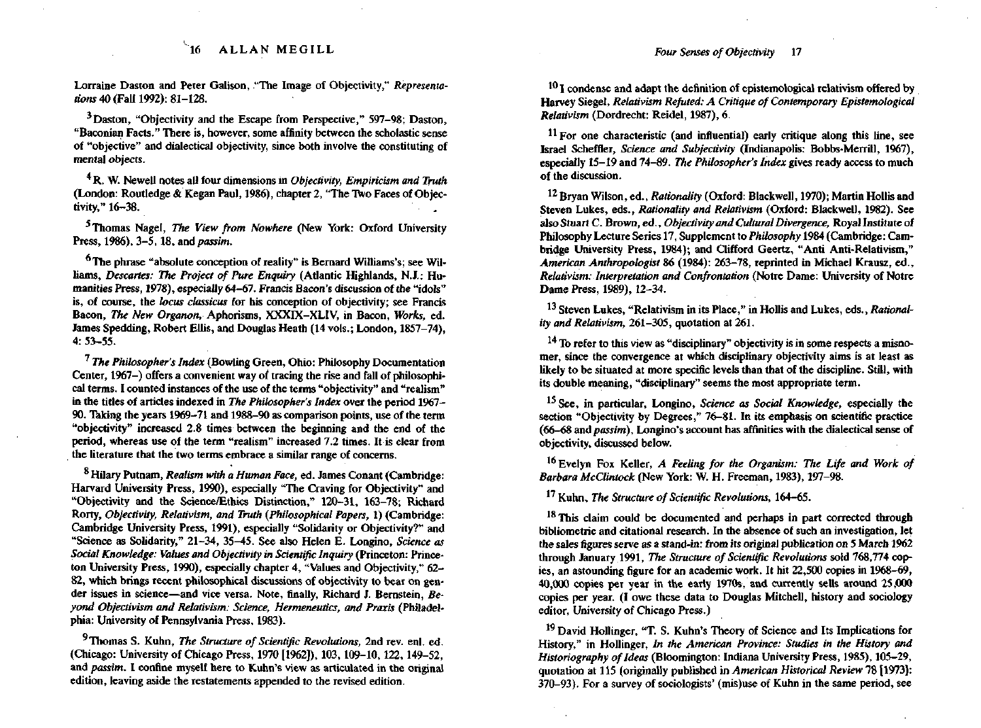# $\mathcal{L}_{16}$  ALLAN MEGILL

Lorraine Daston and Peter Galison, "The Image of Objectivity," *Representations* 40 (Fall 1992): 81-128.

<sup>3</sup> Daston, "Objectivity and the Escape from Perspective," 597-98; Daston, "Baconian Facts." There is, however, some affinity between the scholastic sense of "objective" and dialectical objectivity, since both involve the constituting of mental objects.

4 R. W. Newell notes all four dimensions in *Objectivity, Empiricism and Truth* (London: Routledge & Kegan Paul, 1986), chapter 2, "The Two Faces of Objectivity," 16-38.

Thomas Nagel, *The View from Nowhere* (New York: Oxford University Press, 1986), 3-5,18, and *passim.*

The phrase "absolute conception of reality" is Bernard Williams's; see Williams, *Descartes: The Project of Pure Enquiry* (Atlantic Highlands, N.J.: Humanities Press, 1978), especially 64-67. Francis Bacon's discussion of the "idols" is, of course, the *locus classicus* for his conception of objectivity; see Francis Bacon, *The New Organon,* Aphorisms, XXXIX-XLIV, in Bacon, *Works,* ed. James Spedding, Robert Ellis, and Douglas Heath (14 vols.; London, 1857-74), 4: 53-55.

<sup>7</sup> The Philosopher's Index (Bowling Green, Ohio: Philosophy Documentation Center, 1967-) offers a convenient way of tracing the rise and fall of philosophical terms. I counted instances of the use of the terms "objectivity" and "realism" in the titles of articles indexed in *The Philosopher's Index* over the period 1967- 90. Taking the years 1969-71 and 1988-90 as comparison points, use of the term "objectivity" increased 2.8 times between the beginning and the end of the period, whereas use of the term "realism" increased 7.2 times. It is clear from the literature that the two terms embrace a similar range of concerns.

Hilary Putnam, *Realism with a Human Face,* ed. James Conant (Cambridge: Harvard University Press, 1990), especially "The Craving for Objectivity" and "Objectivity and the Science/Ethics Distinction," 120-31, 163-78; Richard Rorty, *Objectivity, Relativism, and Truth (Philosophical Papers,* 1) (Cambridge: Cambridge University Press, 1991), especially "Solidarity or Objectivity?" and "Science as Solidarity," 21-34, 35-45. See also Helen E. Longino, *Science as Social Knowledge: Values and Objectivity in Scientific Inquiry* (Princeton: Princeton University Press, 1990), especially chapter 4, "Values and Objectivity," 62- 82, which brings recent philosophical discussions of objectivity to bear on gender issues in science—and vice versa. Note, finally, Richard J. Bernstein, *Beyond Objectivism and Relativism: Science, Hermeneutics, and Praxis* (Philadelphia: University of Pennsylvania Press, 1983).

<sup>9</sup>Thomas S. Kuhn, *The Structure of Scientific Revolutions,* 2nd rev. enl. ed. (Chicago: University of Chicago Press, 1970 [1962]), 103, 109-10, 122, 149-52, and *passim.* I confine myself here to Kuhn's view as articulated in the original edition, leaving aside the restatements appended to the revised edition.

 $10<sub>l</sub>$  condense and adapt the definition of epistemological relativism offered by Harvey Siegel, *Relativism Refuted: A Critique of Contemporary Epistemological Relativism* (Dordrecht: Reidel, 1987), 6.

11 For one characteristic (and influential) early critique along this line, see Israel Scheffler, *Science and Subjectivity* (Indianapolis: Bobbs-Merrill, 1967), especially 15-19 and 74-89. *The Philosopher's Index* gives ready access to much of the discussion.

12 Bryan Wilson, ed., *Rationality* (Oxford: Blackwell, 1970); Martin Hollis and Steven Lukes, eds., *Rationality and Relativism* (Oxford: Blackwell, 1982). See also Stuart C. Brown, ed., *Objectivity and Cultural Divergence,* Royal Institute of Philosophy Lecture Series 17, Supplement to *Philosophy* 1984 (Cambridge: Cambridge University Press, 1984); and Clifford Geertz, "Anti Anti-Relativism," *American Anthropologist* 86 (1984): 263-78, reprinted in Michael Krausz, ed., *Relativism: Interpretation and Confrontation* (Notre Dame: University of Notre Dame Press, 1989), 12-34.

13 Steven Lukes, "Relativism in its Place," in Hollis and Lukes, eds., *Rationality and Relativism,* 261-305, quotation at 261.

 $^{14}$  To refer to this view as "disciplinary" objectivity is in some respects a misnomer, since the convergence at which disciplinary objectivity aims is at least as likely to be situated at more specific levels than that of the discipline. Still, with its double meaning, "disciplinary" seems the most appropriate term.

<sup>15</sup> See, in particular, Longino, *Science as Social Knowledge*, especially the section "Objectivity by Degrees," 76-81. In its emphasis on scientific practice (66-68 and *passim),* Longino's account has affinities with the dialectical sense of objectivity, discussed below.

16 Evelyn Fox Keller, *A Feeling for the Organism: The Life and Work of Barbara McClintock* (New York: W. H. Freeman, 1983), 197-98.

17 Kuhn, *The Structure of Scientific Revolutions,* 164-65.

<sup>18</sup> This claim could be documented and perhaps in part corrected through bibliometric and citational research. In the absence of such an investigation, let the sales figures serve as a stand-in: from its original publication on 5 March 1962 through January 1991, *The Structure of Scientific Revolutions* sold 768,774 copies, an astounding figure for an academic work. It hit 22,500 copies in 1968-69, 40,000 copies per year in the early 1970s, and currently sells around 25,000 copies per year. (I owe these data to Douglas Mitchell, history and sociology editor, University of Chicago Press.)

<sup>19</sup> David Hollinger, "T. S. Kuhn's Theory of Science and Its Implications for History," in Hollinger, *In the American Province: Studies in the History and Historiography of Ideas* (Bloomington: Indiana University Press, 1985), 105-29, quotation at 115 (originally published in *American Historical Review* 78 [1973]: 370-93). For a survey of sociologists' (mis)use of Kuhn in the same period, see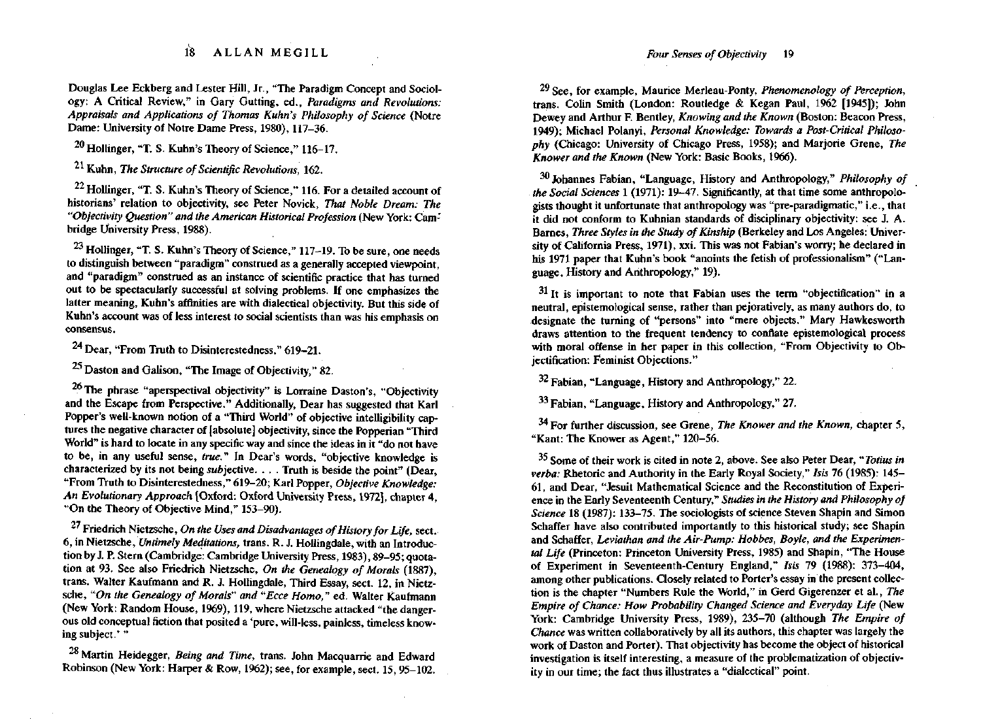Douglas Lee Eckberg and Lester Hill, Jr., "The Paradigm Concept and Sociology: A Critical Review," in Gary Gutting, ed., *Paradigms and Revolutions: Appraisals and Applications of Thomas Kuhn's Philosophy of Science* (Notre Dame: University of Notre Dame Press, 1980), 117-36.

 $20$  Hollinger, "T. S. Kuhn's Theory of Science," 116-17.

**21** Kuhn, *The Structure of Scientific Revolutions,* 162.

<sup>22</sup> Hollinger, "T. S. Kuhn's Theory of Science," 116. For a detailed account of historians' relation to objectivity, see Peter Novick, *That Noble Dream: The "Objectivity Question" and the American Historical Profession* (New York: Cambridge University Press, 1988).

 $^{23}$  Hollinger, "T. S. Kuhn's Theory of Science," 117-19. To be sure, one needs to distinguish between "paradigm" construed as a generally accepted viewpoint, and "paradigm" construed as an instance of scientific practice that has turned out to be spectacularly successful at solving problems. If one emphasizes the latter meaning, Kuhn's affinities are with dialectical objectivity. But this side of Kuhn's account was of less interest to social scientists than was his emphasis on consensus.

<sup>24</sup> Dear, "From Truth to Disinterestedness," 619–21.

<sup>25</sup> Daston and Galison, "The Image of Objectivity," 82.

<sup>26</sup> The phrase "aperspectival objectivity" is Lorraine Daston's, "Objectivity and the Escape from Perspective." Additionally, Dear has suggested that Karl Popper's well-known notion of a "Third World" of objective intelligibility captures the negative character of [absolute] objectivity, since the Popperian "Third World" is hard to locate in any specific way and since the ideas in it "do not have to be, in any useful sense, *true."* In Dear's words, "objective knowledge is characterized by its not being subjective. . . . Truth is beside the point" (Dear, "From Truth to Disinterestedness," 619-20; Karl Popper, *Objective Knowledge: An Evolutionary Approach* [Oxford: Oxford University Press, 1972], chapter 4, "On the Theory of Objective Mind," 153-90).

<sup>27</sup> Friedrich Nietzsche, *On the Uses and Disadvantages of History for Life*, sect.. 6, in Nietzsche, *Untimely Meditations,* trans. R. J. Hollingdale, with an Introduction by J. P. Stern (Cambridge: Cambridge University Press, 1983), 89-95; quotation at 93. See also Friedrich Nietzsche, *On the Genealogy of Morals* (1887), trans. Walter Kaufmann and R. J. Hollingdale, Third Essay, sect. 12, in Nietzsche, *"On the Genealogy of Morals" and "Ecce Homo,"* ed. Walter Kaufmann (New York: Random House, 1969), 119, where Nietzsche attacked "the dangerous old conceptual fiction that posited a 'pure, will-less, painless, timeless knowing subject.' "

<sup>28</sup> Martin Heidegger, *Being and Time*, trans. John Macquarrie and Edward Robinson (New York: Harper & Row, 1962); see, for example, sect. 15, 95-102.

<sup>29</sup> See, for example, Maurice Merleau-Ponty, Phenomenology of Perception, trans. Colin Smith (London: Routledge & Kegan Paul, 1962 [1945]); John Dewey and Arthur F. Bentley, *Knowing and the Known* (Boston: Beacon Press, 1949); Michael Polanyi, *Personal Knowledge: Towards a Post-Critical Philosophy* (Chicago: University of Chicago Press, 1958); and Marjorie Grene, *The Knower and the Known* (New York: Basic Books, 1966).

<sup>30</sup> Johannes Fabian, "Language, History and Anthropology," *Philosophy of the Social Sciences* 1 (1971): 19-47. Significantly, at that time some anthropologists thought it unfortunate that anthropology was "pre-paradigmatic," i.e., that it did not conform to Kuhnian standards of disciplinary objectivity: see J. A. Barnes, *Three Styles in the Study of Kinship* (Berkeley and Los Angeles: University of California Press, 1971), xxi. This was not Fabian's worry; he declared in his 1971 paper that Kuhn's book "anoints the fetish of professionalism" ("Language, History and Anthropology," 19).

 $31$  It is important to note that Fabian uses the term "objectification" in a neutral, epistemoiogical sense, rather than pejoratively, as many authors do, to designate the turning of "persons" into "mere objects." Mary Hawkesworth draws attention to the frequent tendency to conflate epistemoiogical process with moral offense in her paper in this collection, "From Objectivity to Objectification: Feminist Objections."

 $32$  Fabian, "Language, History and Anthropology," 22.

<sup>33</sup> Fabian, "Language, History and Anthropology," 27.

<sup>34</sup> For further discussion, see Grene, *The Knower and the Known*, chapter 5, "Kant: The Knower as Agent," 120-56.

<sup>35</sup> Some of their work is cited in note 2, above. See also Peter Dear, "Totius in *verba:* Rhetoric and Authority in the Early Royal Society," *his* 76 (1985): 145- 61, and Dear, "Jesuit Mathematical Science and the Reconstitution of Experience in the Early Seventeenth Century," *Studies in the History and Philosophy of Science* 18 (1987): 133-75. The sociologists of science Steven Shapin and Simon Schaffer have also contributed importantly to this historical study; see Shapin and Schaffer, *Leviathan and the Air-Pump: Hobbes, Boyle, and the Experimental Life* (Princeton: Princeton University Press, 1985) and Shapin, "The House of Experiment in Seventeenth-Century England," *his* 79 (1988): 373-404, among other publications. Closely related to Porter's essay in the present collection is the chapter "Numbers Rule the World," in Gerd Gigerenzer et al., *The Empire of Chance: How Probability Changed Science and Everyday Life* (New York: Cambridge University Press, 1989), 235-70 (although *The Empire of Chance* was written collaboratively by all its authors, this chapter was largely the work of Daston and Porter). That objectivity has become the object of historical investigation is itself interesting, a measure of the problematization of objectivity in our time; the fact thus illustrates a "dialectical" point.